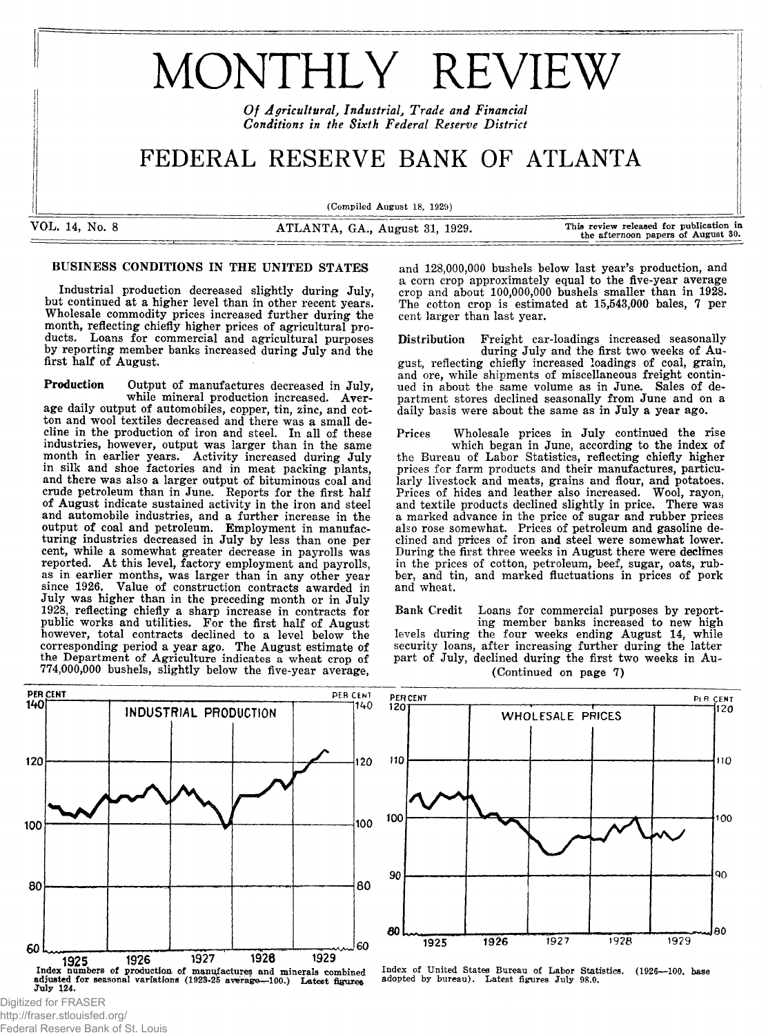# MONTHLY REVIEW

*Of Agricultural, Industrial, Trade and Financial Conditions in the Sixth Federal Reserve District*

## FEDERAL RESERVE BANK OF ATLANTA

(Compiled August 18, 1929)

VOL. 14, No. 8 **ATLANTA, GA., August 31, 1929.** This review released for publication in the afternoon papers of August 30.

#### BUSINESS CONDITIONS IN THE UNITED STATES

Industrial production decreased slightly during July, but continued at a higher level than in other recent years. Wholesale commodity prices increased further during the month, reflecting chiefly higher prices of agricultural products. Loans for commercial and agricultural purposes by reporting member banks increased during July and the first half of August.

Production Output of manufactures decreased in July, while mineral production increased. Average daily output of automobiles, copper, tin, zinc, and cotton and wool textiles decreased and there was a small decline in the production of iron and steel. In all of these industries, however, output was larger than in the same month in earlier years. Activity increased during July in silk and shoe factories and in meat packing plants, and there was also a larger output of bituminous coal and crude petroleum than in June. Reports for the first half of August indicate sustained activity in the iron and steel and automobile industries, and a further increase in the output of coal and petroleum. Employment in manufacturing industries decreased in July by less than one per cent, while a somewhat greater decrease in payrolls was reported. At this level, factory employment and payrolls, as in earlier months, was larger than in any other year since 1926. Value of construction contracts awarded in July was higher than in the preceding month or in July 1928, reflecting chiefly a sharp increase in contracts for public works and utilities. For the first half of August however, total contracts declined to a level below the corresponding period a year ago. The August estimate of the Department of Agriculture indicates a wheat crop of 774,000,000 bushels, slightly below the five-year average,



http://fraser.stlouisfed.org/ Federal Reserve Bank of St. Louis and 128,000,000 bushels below last year's production, and a corn crop approximately equal to the five-year average crop and about 100,000,000 bushels smaller than in 1928. The cotton crop is estimated at 15,543,000 bales, 7 per cent larger than last year.

Distribution Freight car-loadings increased seasonally during July and the first two weeks of August, reflecting chiefly increased loadings of coal, grain, and ore, while shipments of miscellaneous freight continued in about the same volume as in June. Sales of department stores declined seasonally from June and on a daily basis were about the same as in July a year ago.

Prices Wholesale prices in July continued the rise which began in June, according to the index of the Bureau of Labor Statistics, reflecting chiefly higher prices for farm products and their manufactures, particularly livestock and meats, grains and flour, and potatoes. Prices of hides and leather also increased. Wool, rayon, and textile products declined slightly in price. There was a marked advance in the price of sugar and rubber prices also rose somewhat. Prices of petroleum and gasoline declined and prices of iron and steel were somewhat lower. During the first three weeks in August there were declines in the prices of cotton, petroleum, beef, sugar, oats, rubber, and tin, and marked fluctuations in prices of pork and wheat.

Bank Credit Loans for commercial purposes by reporting member banks increased to new high levels during the four weeks ending August 14, while security loans, after increasing further during the latter part of July, declined during the first two weeks in Au- (Continued on page 7)



Index of United States Bureau of Labor Statistics. (1926-100, base adopted by bureau). Latest figures July 98.0.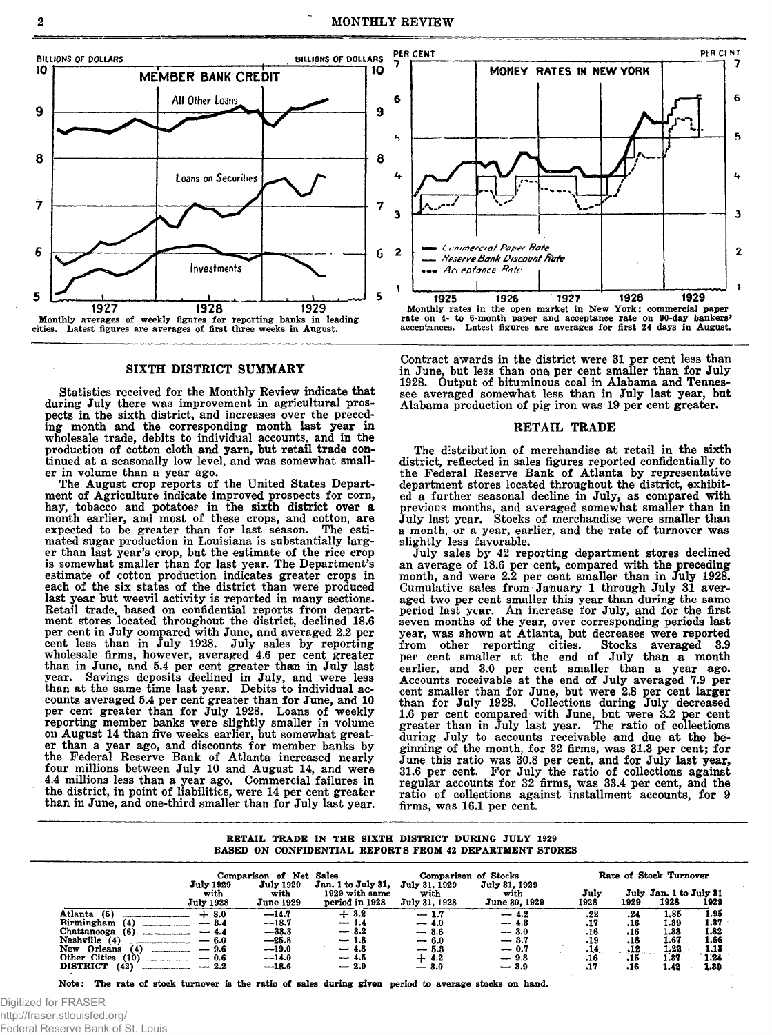

#### SIXTH DISTRICT SUMMARY

Statistics received for the Monthly Review indicate that during July there was improvement in agricultural prospects in the sixth district, and increases over the preceding month and the corresponding month last year in wholesale trade, debits to individual accounts, and in the production of cotton cloth and yarn, but retail trade continued at a seasonally low level, and was somewhat smaller in volume than a year ago.

The August crop reports of the United States Department of Agriculture indicate improved prospects for corn, hay, tobacco and potatoes in the sixth district over a month earlier, and most of these crops, and cotton, are expected to be greater than for last season. The estimated sugar production in Louisiana is substantially larger than last year's crop, but the estimate of the rice crop is somewhat smaller than for last year. The Department's estimate of cotton production indicates greater crops in each of the six states of the district than were produced last year but weevil activity is reported in many sections. Retail trade, based on confidential reports from department stores located throughout the district, declined 18.6 per cent in July compared with June, and averaged 2.2 per cent less than in July 1928. July sales by reporting wholesale firms, however, averaged 4.6 per cent greater than in June, and 5.4 per cent greater than in July last year. Savings deposits declined in July, and were less than at the same time last year. Debits to individual accounts averaged 5.4 per cent greater than for June, and 10 per cent greater than for July 1928. Loans of weekly reporting member banks were slightly smaller in volume on August 14 than five weeks earlier, but somewhat greater than a year ago, and discounts for member banks by the Federal Reserve Bank of Atlanta increased nearly four millions between July 10 and August 14, and were 4.4 millions less than a year ago. Commercial failures in the district, in point of liabilities, were 14 per cent greater than in June, and one-third smaller than for July last year.



Contract awards in the district were 31 per cent less than in June, but less than one, per cent smaller than for July 1928. Output of bituminous coal in Alabama and Tennessee averaged somewhat less than in July last year, but Alabama production of pig iron was 19 per cent greater.

#### RETAIL TRADE

The distribution of merchandise at retail in the sixth district, reflected in sales figures reported confidentially to the Federal Reserve Bank of Atlanta by representative department stores located throughout the district, exhibited a further seasonal decline in July, as compared with previous months, and averaged somewhat smaller than in July last year. Stocks of merchandise were smaller than a month, or a year, earlier, and the rate of turnover was slightly less favorable.

July sales by 42 reporting department stores declined an average of 18.6 per cent, compared with the preceding month, and were 2.2 per cent smaller than in July 1928. Cumulative sales from January 1 through July 31 averaged two per cent smaller this year than during the same period last year. An increase for July, and for the first seven months of the year, over corresponding periods last year, was shown at Atlanta, but decreases were reported from other reporting cities. Stocks averaged 3.9 per cent smaller at the end of July than a month earlier, and 3.0 per cent smaller than a year ago. Accounts receivable at the end of July averaged 7.9 per cent smaller than for June, but were 2.8 per cent larger than for July 1928. Collections during July decreased 1.6 per cent compared with June, but were 3.2 per cent greater than in July last year. The ratio of collections during July to accounts receivable and due at the beginning of the month, for 32 firms, was 31.3 per cent; for June this ratio was 30.8 per cent, and for July last year, 31.6 per cent. For July the ratio of collections against regular accounts for 32 firms, was 33.4 per cent, and the ratio of collections against installment accounts, for 9 firms, was 16.1 per cent.

|  |  |  | RETAIL TRADE IN THE SIXTH DISTRICT DURING JULY 1929     |  |  |
|--|--|--|---------------------------------------------------------|--|--|
|  |  |  | BASED ON CONFIDENTIAL REPORTS FROM 42 DEPARTMENT STORES |  |  |

|                                                                                                                                                                       | Comparison of Net<br>Sales                    |                                                                           |                                                                    | Comparison of Stocks                                               | Rate of Stock Turnover                                             |                                               |                                                |                                                      |                                                      |
|-----------------------------------------------------------------------------------------------------------------------------------------------------------------------|-----------------------------------------------|---------------------------------------------------------------------------|--------------------------------------------------------------------|--------------------------------------------------------------------|--------------------------------------------------------------------|-----------------------------------------------|------------------------------------------------|------------------------------------------------------|------------------------------------------------------|
|                                                                                                                                                                       | <b>July 1929</b><br>with<br><b>July 1928</b>  | <b>July 1929</b><br>with<br><b>June 1929</b>                              | Jan. 1 to July 31.<br>1929 with same<br>period in 1928             | July 31, 1929<br>with<br>July 31, 1928                             | July 31, 1929<br>with<br>June 30, 1929                             | July<br>1928                                  | 1929                                           | July Jan. 1 to July 31<br>1928                       | 1929                                                 |
| Atlanta<br>(6)<br>Birmingham<br>(4)<br>Chattanooga<br>(6)<br>Nashville (4)<br>New Orleans<br>(4)<br>--------------<br>Other Cities<br>(19)<br><b>DISTRICT</b><br>(42) | 8.0<br>8.4<br>4.4<br>6.0<br>9.6<br>0.6<br>2.2 | $-14.7$<br>$-18.7$<br>$-33.3$<br>$-25.8$<br>$-19.0$<br>$-14.0$<br>$-18.6$ | $+3.2$<br>$-1.4$<br>$-8.2$<br>$-1.8$<br>$-4.8$<br>$-4.5$<br>$-2.0$ | $-1.7$<br>$-4.0$<br>$-3.6$<br>$-6.0$<br>$-5.3$<br>$+4.2$<br>$-3.0$ | $-4.2$<br>$-4.3$<br>$-3.0$<br>$-3.7$<br>$-0.7$<br>$-9.8$<br>$-3.9$ | .22<br>.17<br>.16<br>.19<br>-14<br>.16<br>.17 | .24<br>.16<br>.16<br>.18<br>.12<br>. 15<br>.16 | 1,85<br>1.89<br>1.33<br>1.67<br>1.22<br>1.37<br>1.42 | 1.95<br>1.87<br>1.32<br>1.66<br>1.18<br>1.24<br>1.89 |

Note: The rate of stock turnover is the ratio of sales during given period to average stocks on hand.

Digitized for FRASER http://fraser.stlouisfed.org/ Federal Reserve Bank of St. Louis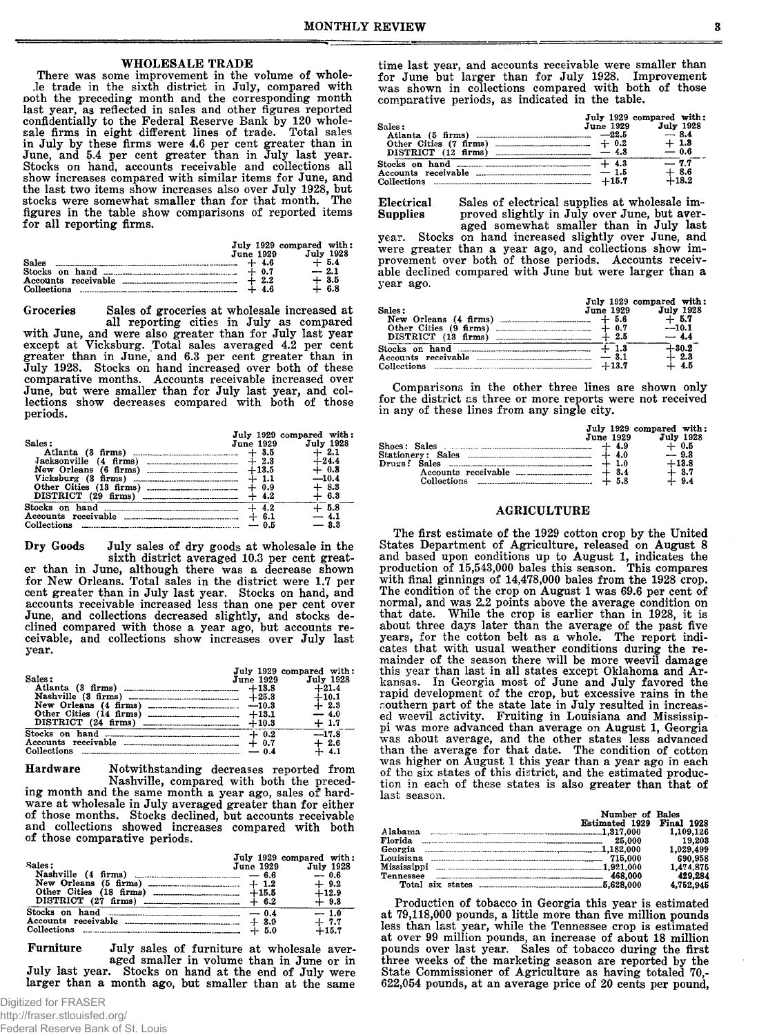#### WHOLESALE TRADE

There was some improvement in the volume of whole- ,le trade in the sixth district in July, compared with poth the preceding month and the corresponding month last year, as reflected in sales and other figures reported confidentially to the Federal Reserve Bank by 120 wholesale firms in eight different lines of trade. Total sales in July by these firms were 4.6 per cent greater than in June, and 5.4 per cent greater than in July last year. Stocks on hand, accounts receivable and collections all show increases compared with similar items for June, and the last two items show increases also over July 1928, but stocks were somewhat smaller than for that month. The stocks were somewhat smaller than for that month. The figures in the table show comparisons of reported items for all reporting firms.

|                                                                      | <b>June 1929</b> | July 1929 compared with:<br>July 1928 |
|----------------------------------------------------------------------|------------------|---------------------------------------|
| Sales                                                                | $+4.6$           | $+ 5.4$                               |
| Stocks on hand $\ldots$ $\ldots$ $\ldots$ $\ldots$ $\ldots$ $\ldots$ | $+0.7$           | $-2.1$                                |
|                                                                      | $+2.2$           | $+3.5$                                |
|                                                                      | $+4.6$           | $+6.8$                                |

Groceries Sales of groceries at wholesale increased at all reporting cities in July as compared with June, and were also greater than for July last year except at Vicksburg. Total sales averaged 4.2 per cent greater than in June, and 6.3 per cent greater than in July 1928. Stocks on hand increased over both of these comparative months. Accounts receivable increased over June, but were smaller than for July last year, and collections show decreases compared with both of those periods.

| Sales:              | <b>June 1929</b> | July 1929 compared with:<br>July 1928 |
|---------------------|------------------|---------------------------------------|
|                     | $+3.5$           | $+2.1$                                |
|                     | $+2.3$           | $+24.4$                               |
|                     | $+13.5$          | $+0.3$                                |
|                     | $+1.1$           | $-10.4$                               |
|                     | $+0.9$           | $+8.3$                                |
| DISTRICT (29 firms) | $+$ 4.2 $\,$     | $+ 6.3$                               |
|                     | $+4.2$           | $+5.8$                                |
|                     | $+ 6.1$          | $-4.1$                                |
| Collections         | — 0.5            | -3.3                                  |

Dry Goods July sales of dry goods at wholesale in the sixth district averaged 10.3 per cent greater than in June, although there was a decrease shown for New Orleans. Total sales in the district were 1.7 per cent greater than in July last year. Stocks on hand, and accounts receivable increased less than one per cent over June, and collections decreased slightly, and stocks declined compared with those a year ago, but accounts receivable, and collections show increases over July last year.

| Sales:<br>Other Cities (14 firms) | June 1929<br>$+13.8$<br>$-10.3$<br>$+13.1$<br>$+10.3$ | July 1929 compared with:<br>July 1928<br>$+21.4$<br>$+10.1$<br>$+2.3$<br>$-4.0$<br>$+1.7$ |
|-----------------------------------|-------------------------------------------------------|-------------------------------------------------------------------------------------------|
| Stocks on hand                    | $+0.2$                                                | $-17.8$                                                                                   |
|                                   | $+0.7$                                                | $+2.6$                                                                                    |
| Collections                       | $-0.4$                                                | $+ 4.1$                                                                                   |

Hardware Notwithstanding decreases reported from Nashville, compared with both the preceding month and the same month a year ago, sales of hardware at wholesale in July averaged greater than for either of those months. Stocks declined, but accounts receivable and collections showed increases compared with both of those comparative periods.

| Sales:                         | <b>June 1929</b> | July 1929 compared with:<br>July 1928<br>$-0.6$ |
|--------------------------------|------------------|-------------------------------------------------|
|                                | $+1.2$           | $+9.2$                                          |
|                                | $+15.5$          | $+12.9$                                         |
| $DISTRICT (27 firms)$ $\ldots$ | $+6.2$           | $+9.3$                                          |
| Stocks on hand                 |                  | $-1.0$                                          |
|                                | $+3.9$           | $+7.7$                                          |
| Collections                    | $+ 5.0$          | $+15.7$                                         |

Furniture July sales of furniture at wholesale averaged smaller in volume than in June or in July last year. Stocks on hand at the end of July were larger than a month ago, but smaller than at the same

time last year, and accounts receivable were smaller than for June but larger than for July 1928. Improvement was shown in collections compared with both of those comparative periods, as indicated in the table.

| Sales :<br>$\sim$ 4.8<br>DISTRICT (12 firms) | June 1929<br>$+ 0.2$        | July 1929 compared with:<br>July 1928<br>$-8.4$<br>$+1.3$<br>$-0.6$ |
|----------------------------------------------|-----------------------------|---------------------------------------------------------------------|
| Collections                                  | $+4.3$<br>$-1.5$<br>$+15.7$ | $-7.7$<br>$+18.6$<br>$+18.2$                                        |

Electrical Supplies Sales of electrical supplies at wholesale improved slightly in July over June, but aver-

aged somewhat smaller than in July last year. Stocks on hand increased slightly over June, and were greater than a year ago, and collections show improvement over both of those periods. Accounts receivable declined compared with June but were larger than a year ago.

| Sales:<br>New Orleans (4 firms)<br>Other Cities (9 firms) | <b>June 1929</b><br>$+5.6$<br>$+ 0.7$<br>$+2.5$ | July 1929 compared with:<br>July 1928<br>$+ 5.7$<br>$-10.1$<br>$-4.4$ |
|-----------------------------------------------------------|-------------------------------------------------|-----------------------------------------------------------------------|
|                                                           | $+1.3$                                          | $-180.2$                                                              |
|                                                           | $-3.1$                                          | $+2.3$                                                                |
|                                                           | $+13.7$                                         | $+4.5$                                                                |

Comparisons in the other three lines are shown only for the district as three or more reports were not received in any of these lines from any single city.

|             |  | June 1929 | July 1929 compared with:<br>July 1928 |         |
|-------------|--|-----------|---------------------------------------|---------|
|             |  | $+4.9$    |                                       | $+0.5$  |
|             |  | $+4.0$    | $-9.3$                                |         |
|             |  | $+1.0$    |                                       | $+13.8$ |
|             |  | $+3.4$    |                                       | $+3.7$  |
| Collections |  | $+5.8$    |                                       | $+9.4$  |

#### AGRICULTURE

The first estimate of the 1929 cotton crop by the United States Department of Agriculture, released on August 8 and based upon conditions up to August 1, indicates the production of 15,543,000 bales this season. This compares with final ginnings of 14,478,000 bales from the 1928 crop. The condition of the crop on August 1 was 69.6 per cent of normal, and was 2.2 points above the average condition on that date. While the crop is earlier than in 1928, it is about three days later than the average of the past five years, for the cotton belt as a whole. The report indicates that with usual weather conditions during the remainder of the season there will be more weevil damage this year than last in all states except Oklahoma and Arkansas. In Georgia most of June and July favored the rapid development of the crop, but excessive rains in the routhern part of the state late in July resulted in increased weevil activity. Fruiting in Louisiana and Mississippi was more advanced than average on August 1, Georgia was about average, and the other states less advanced than the average for that date. The condition of cotton was higher on August 1 this year than a year ago in each of the six states of this district, and the estimated production in each of these states is also greater than that of last season.

|                                                                                                                                                                                                                                                                                                                                          | Number of Bales<br>Estimated 1929 | <b>Final 1928</b> |
|------------------------------------------------------------------------------------------------------------------------------------------------------------------------------------------------------------------------------------------------------------------------------------------------------------------------------------------|-----------------------------------|-------------------|
|                                                                                                                                                                                                                                                                                                                                          |                                   | 1.109.126         |
|                                                                                                                                                                                                                                                                                                                                          | 25.000                            | 19.203            |
| Georgia $\ldots$ $\ldots$ $\ldots$ $\ldots$ $\ldots$ $\ldots$ $\ldots$ $\ldots$ $\ldots$ $\ldots$ $\ldots$ $\ldots$ $\ldots$ $\ldots$ $\ldots$ $\ldots$ $\ldots$ $\ldots$ $\ldots$ $\ldots$ $\ldots$ $\ldots$ $\ldots$ $\ldots$ $\ldots$ $\ldots$ $\ldots$ $\ldots$ $\ldots$ $\ldots$ $\ldots$ $\ldots$ $\ldots$ $\ldots$ $\ldots$ $\ld$ |                                   | 1.029.499         |
|                                                                                                                                                                                                                                                                                                                                          |                                   | 690.958           |
|                                                                                                                                                                                                                                                                                                                                          |                                   | 1.474.875         |
| Tennessee                                                                                                                                                                                                                                                                                                                                | 468.000                           | 429.284           |
|                                                                                                                                                                                                                                                                                                                                          |                                   | 4.752.945         |

Production of tobacco in Georgia this year is estimated at 79,118,000 pounds, a little more than five million pounds less than last year, while the Tennessee crop is estimated at over 99 million pounds, an increase of about 18 million pounds over last year. Sales of tobacco during the first three weeks of the marketing season are reported by the State Commissioner of Agriculture as having totaled 70,- 622,054 pounds, at an average price of 20 cents per pound,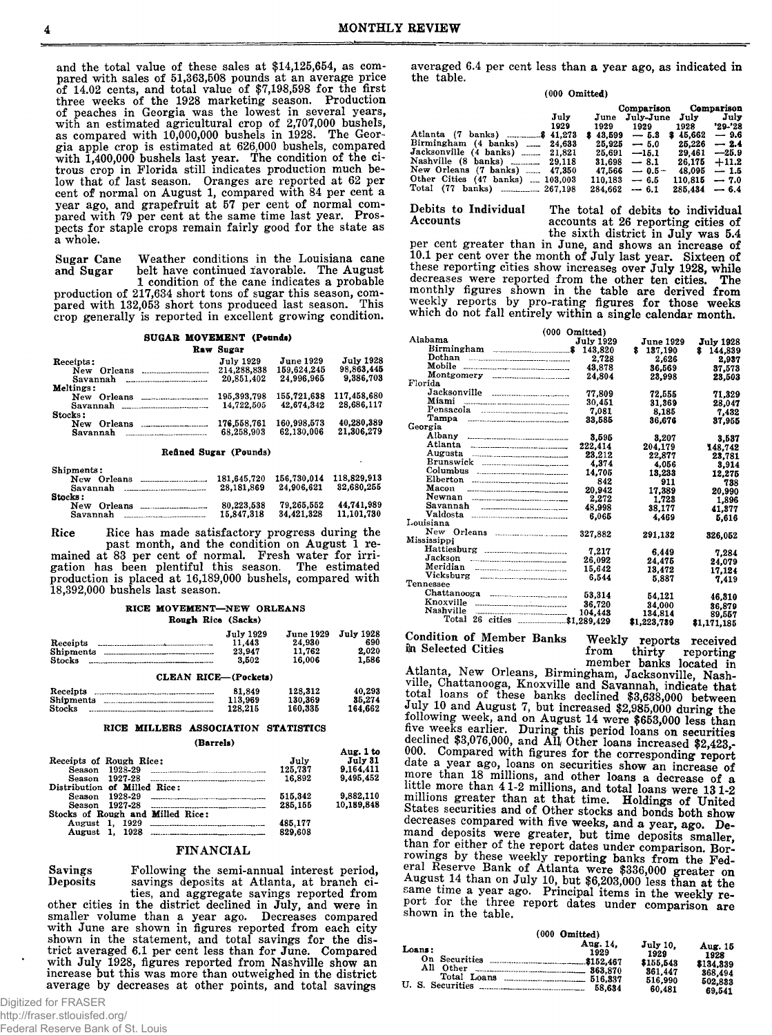and the total value of these sales at \$14,125,654, as compared with sales of 51,363,508 pounds at an average price of 14.02 cents, and total value of \$7,198,598 for the first three weeks of the 1928 marketing season. Production of peaches in Georgia was the lowest in several years, with an estimated agricultural crop of 2,707,000 bushels, as compared with 10,000,000 bushels in 1928. The Georgia apple crop is estimated at 626,000 bushels, compared with 1,400,000 bushels last year. The condition of the citrous crop in Florida still indicates production much below that of last season. Oranges are reported at 62 per cent of normal on August 1, compared with 84 per cent a year ago, and grapefruit at 57 per cent of normal compared with 79 per cent at the same time last year. Prospects for staple crops remain fairly good for the state as a whole.

Sugar Cane Weather conditions in the Louisiana cane<br>and Sugar belt have continued ravorable. The August belt have continued tavorable. The August

1 condition of the cane indicates a probable production of 217,634 short tons of sugar this season, compared with 132,053 short tons produced last season. This crop generally is reported in excellent growing condition.

SUGAR MOVEMENT (Pounds)

| <b>July 1929</b> | <b>June 1929</b>                        | <b>July 1928</b>                                        |
|------------------|-----------------------------------------|---------------------------------------------------------|
|                  |                                         | 98.863.445                                              |
| 20.851.402       |                                         | 9.386.703                                               |
|                  |                                         |                                                         |
|                  |                                         | 117,458,680                                             |
| 14.722.505       | 42.674.342                              | 28,686,117                                              |
|                  |                                         |                                                         |
| 176,558,761      |                                         | 40,280,389                                              |
| 68,258,903       | 62,130,006                              | 21,306,279                                              |
|                  | Raw Sugar<br>214.288.838<br>195,393,798 | 159.624.245<br>24.996.965<br>155.721.638<br>160,998,573 |

Refined Sugar (Pounds)

| Shipments:<br>New Orleans<br>Savannah | 181.645.720<br>28.181.869 | 156.730.014<br>24.906.621 | 118.829.913<br>32.680.255 |
|---------------------------------------|---------------------------|---------------------------|---------------------------|
| Stocks:<br>Orleans<br>New<br>Savannah | 80.223.538<br>15.847.318  | 79.265.552<br>34.421.328  | 44.741.989<br>11.101.730  |

Rice Rice has made satisfactory progress during the past month, and the condition on August 1 remained at 83 per cent of normal. Fresh water for irrigation has been plentiful this season. The estimated production is placed at 16,189,000 bushels, compared with 18,392,000 bushels last season.

#### RICE MOVEMENT—NEW ORLEANS Rough Rice (Sacks)

| Receipts<br>${\bf Shiments}$<br>Stocks | <b>July 1929</b><br>11.443<br>23.947<br>3.502 | <b>June 1929</b><br>24.930<br>11.762<br>16,006 | July 1928<br>690<br>2.020<br>1,586 |
|----------------------------------------|-----------------------------------------------|------------------------------------------------|------------------------------------|
|                                        | CLEAN RICE-(Pockets)                          |                                                |                                    |
| Receipts<br>---                        | 81.849                                        | 128,312                                        | 40,293                             |

| Receipts<br>Shipments<br>Stocks | 81.849<br>113.969<br>128.215 | 128.312<br>130.369<br>160.335 | 40.293<br>35.274<br>164.662 |
|---------------------------------|------------------------------|-------------------------------|-----------------------------|
|                                 |                              |                               |                             |

#### RICE MILLERS ASSOCIATION STATISTICS

| (Barrels)                        |         |            |
|----------------------------------|---------|------------|
|                                  |         | Aug. 1 to  |
| Receipts of Rough Rice:          | July    | July 31    |
| 1928-29<br>Season                | 125.737 | 9.164,411  |
| Season 1927-28                   | 16.892  | 9.495.452  |
| Distribution of Milled Rice:     |         |            |
| Season 1928-29                   | 515.342 | 9.882.110  |
| Season 1927-28                   | 285.155 | 10.189.848 |
| Stocks of Rough and Milled Rice: |         |            |
| August 1, 1929                   | 485,177 |            |
| <b>August 1, 1928</b>            | 829.608 |            |

### FINANCIAL

Savings Following the semi-annual interest period,<br>Deposits savings deposits at Atlanta, at branch cisavings deposits at Atlanta, at branch cities, and aggregate savings reported from other cities in the district declined in July, and were in smaller volume than a year ago. Decreases compared with June are shown in figures reported from each city shown in the statement, and total savings for the district averaged 6.1 per cent less than for June. Compared with July 1928, figures reported from Nashville show an increase but this was more than outweighed in the district average by decreases at other points, and total savings

averaged 6.4 per cent less than a year ago, as indicated in the table.

#### (000 Omitted)

|                                      | Comparison Comparison           |                 |                 |
|--------------------------------------|---------------------------------|-----------------|-----------------|
| July                                 | June July-June July             |                 | July            |
| 1929                                 | 1929 1929                       |                 | 1928 '29-'28    |
|                                      | $$43.599 - 5.3$ $$45.662 - 9.6$ |                 |                 |
| Birmingham (4 banks)  24,633         | $25.925 - 5.0$                  |                 | $25.226 - 2.4$  |
| Jacksonville (4 banks)  21,821       | $25.691 -15.1$                  |                 | $29.461 -25.9$  |
| Nashville (8 banks) _________ 29,118 | $81.698 - 8.1$                  |                 | $26.175 + 11.2$ |
| New Orleans (7 banks)  47,350        | $47.566 - 0.5 -$                |                 | $48.095 - 1.5$  |
| Other Cities (47 banks)  103,003     | $110.183 - 6.5$                 | $110.815 - 7.0$ |                 |
|                                      | $284.662 - 6.1$                 |                 | $285.434 - 6.4$ |

#### Debits to Individual Accounts

The total of debits to individual accounts at 26 reporting cities of the sixth district in July was 5.4

per cent greater than in June, and shows an increase of 10.1 per cent over the month of July last year. Sixteen of these reporting cities show increases over July 1928, while decreases were reported from the other ten cities. The monthly figures shown in the table are derived from weekly reports by pro-rating figures for those weeks which do not fall entirely within a single calendar month.

|                                                    | $(000 \t  Omitted)$ |                  |                  |
|----------------------------------------------------|---------------------|------------------|------------------|
| Alabama                                            | <b>July 1929</b>    | <b>June 1929</b> | <b>July 1928</b> |
|                                                    |                     | 137.190<br>s.    | 144.839<br>\$    |
|                                                    | 2,728               | 2.626            | 2.937            |
|                                                    | 43,878              | 36.569           | 37,573           |
|                                                    | 24.804              | 23.998           | 23.503           |
| Florida                                            |                     |                  |                  |
| Jacksonville                                       | 77.809              | 72,555           | 71,329           |
| Miami                                              | 30.451              | 31.369           | 28,047           |
|                                                    | 7.081               | 8.185            | 7.432            |
| Tampa<br>--------------------------------------    | 33.585              | 36,676           | 37.955           |
| Georgia                                            |                     |                  |                  |
| Albany                                             | 3,595               | 3.207            | 3.537            |
| Atlanta                                            | 222.414             | 204,179          | 148.742          |
| Augusta <u>musicale est est anno 1980</u>          | 23.212              | 22.877           | 23.781           |
|                                                    | 4.374               | 4.056            | 3,914            |
|                                                    | 14.705              | 13.233           | 12.275           |
| Elberton                                           | 842                 | 911              | 738              |
| Macon                                              | 20.942              | 17.389           | 20,990           |
| Newnan                                             | 2.272               | 1.723            | 1.896            |
|                                                    | 48.998              | 38.177           | 41.377           |
|                                                    | 6,065               | 4.469            | 5,616            |
| Louisiana                                          |                     |                  |                  |
|                                                    | 327,882             | 291.132          | 326,052          |
| Mississippi                                        |                     |                  |                  |
| Hattiesburg                                        | 7.217               | 6.449            | 7.284            |
| Jackson                                            | 26.092              | 24,475           | 24,079           |
| Meridian                                           | 15.642              | 13.472           | 17,124           |
| Vicksburg                                          | 6.544               | 5.887            | 7.419            |
| Tennessee                                          |                     |                  |                  |
|                                                    | 53.314              | 54.121           |                  |
| Knoxville                                          | 36,720              | 34.000           | 46.810           |
| Nashville<br>------------------------------------- | 104.448             | 134,814          | 86,879           |
| Total 26 cities \$1,289,429                        |                     | \$1,223,789      | 89,557           |
|                                                    |                     |                  | \$1,171,185      |
| $Condiffian$ of $M=1$ , $D=1$                      | $- - -$             |                  |                  |

ondition of Member Banks ijn Selected Cities

Weekly reports received from thirty reporting

member banks located in Atlanta, New Orleans, Birmingham, Jacksonville, Nashville, Chattanooga, Knoxville and Savannah, indicate that<br>total loans of these banks declined \$3,638,000 between July 10 and August 7, but increased \$2,985,000 during the following week, and on August 14 were \$653,000 less than live weeks earlier. During this period loans on securities declined \$3,076,000, and AH Other loans increased \$2,423,- 000. Compared with figures for the corresponding report date a year ago, loans on securities show an increase of more than 18 millions, and other loans a decrease of a little more than  $41-2$  millions, and total loans were  $131-2$ millions greater than at that time. Holdings of United States securities and of Other stocks and bonds both show decreases compared with five weeks, and a year, ago. Demand deposits were greater, but time deposits smaller, than tor either of the report dates under comparison. Borrowings by these weekly reporting banks from the Federal Reserve Bank of Atlanta were \$336,000 greater on August 14 than on July 10, but \$6,203,000 less than at the same time a year ago. Principal items in the weekly report for the three report dates under comparison are shown in the table.

|               | $(000$ Omitted)                                                                                                                           |                                                               |                                                              |
|---------------|-------------------------------------------------------------------------------------------------------------------------------------------|---------------------------------------------------------------|--------------------------------------------------------------|
| Loans:<br>All | Aug. 14.<br>1929<br>On Securities<br>4152.467<br>Other<br>363.870<br>Total<br>Loans $\frac{1}{2}$<br>516.337<br>U.S. Securities<br>58.634 | July 10.<br>1929<br>\$155.543<br>361.447<br>516.990<br>60,481 | Aug. 15<br>1928<br>\$134.339<br>368.494<br>502,833<br>69.541 |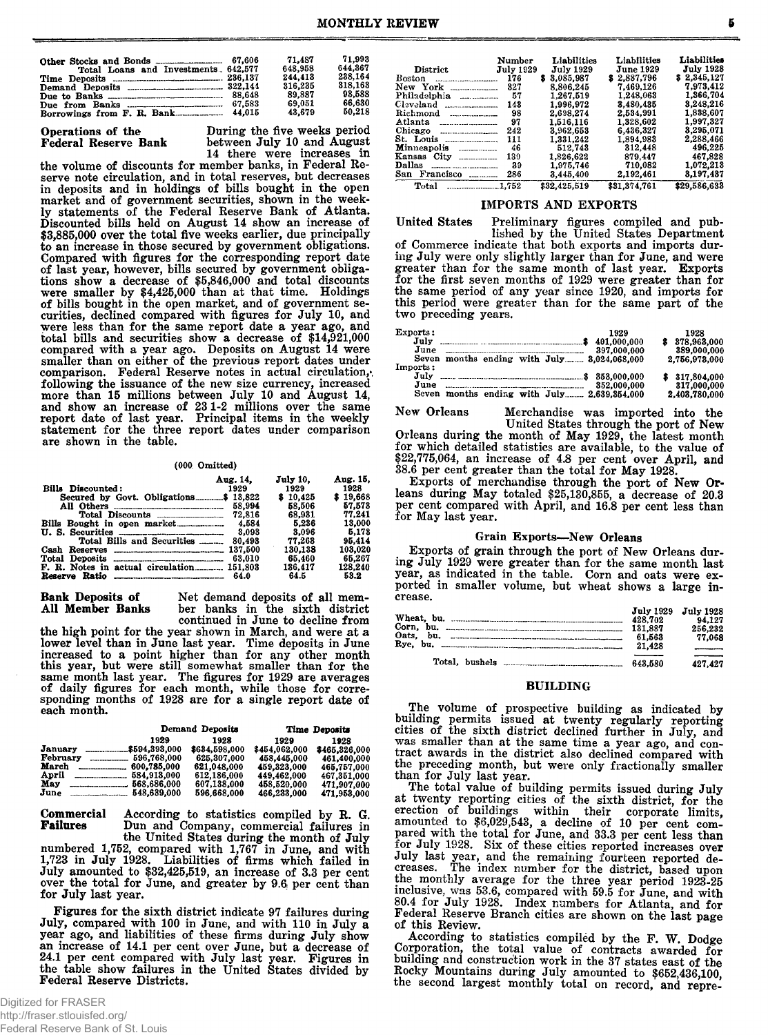| Total Loans and Investments 642.577 | 71.993<br>71.487<br>644.367<br>648.958   |
|-------------------------------------|------------------------------------------|
|                                     | 238.164<br>244.413<br>318.163<br>316.235 |
|                                     | 93.588<br>89.887                         |
|                                     | 66.630<br>69.051<br>50.218<br>43.679     |

Operations of the Federal Reserve Bank

During the five weeks period between July 10 and August

14 there were increases in the volume of discounts for member banks, in Federal Reserve note circulation, and in total reserves, but decreases in deposits and in holdings of bills bought in the open market and of government securities, shown in the weekly statements of the Federal Reserve Bank of Atlanta. Discounted bills held on August 14 show an increase of \$3,885,000 over the total five weeks earlier, due principally to an increase in those secured by government obligations. Compared with figures for the corresponding report date of last year, however, bills secured by government obligations show a decrease of \$5,846,000 and total discounts were smaller by \$4,425,000 than at that time. Holdings of bills bought in the open market, and of government securities, declined compared with figures for July 10, and were less than for the same report date a year ago, and total bills and securities show a decrease of \$14,921,000 compared with a year ago. Deposits on August 14 were smaller than on either of the previous report dates under comparison. Federal Reserve notes in actual circulation, following the issuance of the new size currency, increased more than 15 millions between July 10 and August 14, and show an increase of 23 1-2 millions over the same report date of last year. Principal items in the weekly statement for the three report dates under comparison are shown in the table.

#### (000 Omitted)

| Bills Discounted:                                 | Aug. 14.<br>1929 | <b>July 10.</b><br>1929 | Aug. 15.<br>1928 |
|---------------------------------------------------|------------------|-------------------------|------------------|
| Secured by Govt. Obligations\$ 13,822             |                  | \$10.425                | \$19.668         |
|                                                   | 58,994           | 58,506                  | 57.573           |
|                                                   | 72.816           | 68.931                  | 77.241           |
|                                                   | 4.584            | 5.236                   | 13.000           |
| U. S. Securities <u>_________________________</u> | 3.093            | 3.096                   | 5.173            |
| Total Bills and Securities                        | 80.493           | 77.263                  | 95.414           |
|                                                   |                  | 130.138                 | 103.020          |
|                                                   | 63.010           | 65.460                  | 65.267           |
|                                                   |                  | 136.417                 | 128.240          |
| Reserve Ratio                                     |                  | 64.5                    | 53.2             |

Bank Deposits of All Member Banks Net demand deposits of all member banks in the sixth district

continued in June to decline from the high point for the year shown in March, and were at a lower level than in June last year. Time deposits in June increased to a point higher than for any other month this year, but were still somewhat smaller than for the same month last year. The figures for 1929 are averages of daily figures for each month, while those for corresponding months of 1928 are for a single report date of each month.

|                                                                                                                                                                                                                                             |               | <b>Demand Deposits</b> |               | Time Deposits |  |
|---------------------------------------------------------------------------------------------------------------------------------------------------------------------------------------------------------------------------------------------|---------------|------------------------|---------------|---------------|--|
|                                                                                                                                                                                                                                             | 1929          | 1928                   | 1929          | 1928          |  |
| January<br>----------------                                                                                                                                                                                                                 | .8594.393.000 | \$634,598,000          | \$454.062.000 | \$465,326,000 |  |
| February<br>----------------                                                                                                                                                                                                                | 596,768,000   | 625.307.000            | 458.445.000   | 461,400,000   |  |
| March<br>___________________                                                                                                                                                                                                                | 600.785.000   | 621.048.000            | 459.323.000   | 465.757.000   |  |
| April                                                                                                                                                                                                                                       | 584.913.000   | 612,186,000            | 449.462.000   | 467,351,000   |  |
| May<br><u>standard and the company of the company of the company of the company of the company of the company of the company of the company of the company of the company of the company of the company of the company of the company o</u> | 568.686.000   | 607,138,000            | 458.520.000   | 471,907,000   |  |
| June                                                                                                                                                                                                                                        | 548,639,000   | 596.668.000            | 466,233,000   | 471.953.000   |  |

Commercial According to statistics compiled by R. G. Failures Dun and Company, commercial failures in

the United States during the month of July numbered 1,752, compared with 1,767 in June, and with 1,723 in July 1928. Liabilities of firms which failed in July amounted to \$32,425,519, an increase of 3.3 per cent over the total for June, and greater by 9.6] per cent than for July last year.

Figures for the sixth district indicate 97 failures during July, compared with 100 in June, and with 110 in July a year ago, and liabilities of these firms during July show an increase of 14.1 per cent over June, but a decrease of 24.1 per cent compared with July last year. Figures in the table show failures in the United States divided by Federal Reserve Districts.

| <b>District</b>                                  | Number<br><b>July 1929</b> |    | Liabilities<br><b>July 1929</b> | Liabilities<br>June 1929 | Liabilities<br>July 1928 |
|--------------------------------------------------|----------------------------|----|---------------------------------|--------------------------|--------------------------|
| Boston<br>and there is a construction            | 176                        | s. | 3.085.987                       | 2,887,796<br>S           | 2,345,127<br>s           |
|                                                  | 327                        |    | 8.806.245                       | 7.469.126                | 7.973.412                |
| Philadelphia<br>-----------------                | 57                         |    | 1.267.519                       | 1.248,063                | 1.366.704                |
| Cleveland<br><b>********************</b>         | 143                        |    | 1.996.972                       | 3.480.435                | 8,248,216                |
| Richmond<br>----------------------               | 98                         |    | 2.698.274                       | 2.534.991                | 1.838.607                |
| Atlanta                                          | 97                         |    | 1.516.116                       | 1.328.602                | 1.997.327                |
| Chicago<br>--------------------------            | 242                        |    | 3.962.653                       | 6.436,327                | 3,295,071                |
| St. Louis                                        | 111                        |    | 1,331,242                       | 1.894.983                | 2.288.466                |
| Minneapolis                                      | 46                         |    | 512.743                         | 312,448                  | 496,225                  |
| Kansas City<br>---------------                   | 130                        |    | 1,826,622                       | 879.447                  | 467.828                  |
| Dallas<br><b>Martin Corp. And Contract Corp.</b> | 39                         |    | 1.975.746                       | 710.082                  | 1,072,213                |
| San Francisco                                    | 286                        |    | 3.445.400                       | 2.192.461                | 3,197,437                |
| Total                                            |                            |    | \$32,425,519                    | \$31,374,761             | \$29,586,633             |

#### IMPORTS AND EXPORTS

United States Preliminary figures compiled and published by the United States Department of Commerce indicate that both exports and imports during July were only slightly larger than for June, and were greater than for the same month of last year. Exports for the first seven months of 1929 were greater than for the same period of any year since 1920, and imports for this period were greater than for the same part of the two preceding years.

| $\mathop{\hbox{\rm Exports}}$ :<br>July<br>June<br>Seven months ending with July 3,024,068,000 | 1929<br>1928<br>378,963,000<br>401.000.000<br>S<br>389,000,000<br>397,000,000<br>2.756.973.000 |
|------------------------------------------------------------------------------------------------|------------------------------------------------------------------------------------------------|
| Imports :<br>July<br>June<br>months ending with July 2,639,354,000<br>Seven                    | 353,000,000<br>\$ 317,804,000<br>317,000,000<br>352,000,000<br>2,403,780,000                   |

New Orleans Merchandise was imported into the United States through the port of New Orleans during the month of May 1929, the latest month for which detailed statistics are available, to the value of \$22,775,064, an increase of 4.8 per cent over April, and 38.6 per cent greater than the total for May 1928.

Exports of merchandise through the port of New Orleans during May totaled \$25,130,855, a decrease of 20.3 per cent compared with April, and 16.8 per cent less than for May last year.

#### Grain Exports—New Orleans

Exports of grain through the port of New Orleans during July 1929 were greater than for the same month last year, as indicated in the table. Corn and oats were exported in smaller volume, but wheat shows a large increase.

| Corn.<br>bu.<br>Oats.<br>bu.<br>Rve.<br>bu. | <b>July 1929</b><br>428.702<br>131.887<br>61.563<br>21.428 | July 1928<br>94.127<br>256,232<br>77.068 |
|---------------------------------------------|------------------------------------------------------------|------------------------------------------|
| Total, bushels                              | 643.580                                                    | 427.427                                  |

#### BUILDING

The volume of prospective building as indicated by building permits issued at twenty regularly reporting cities of the sixth district declined further in July, and was smaller than at the same time a year ago, and contract awards in the district also declined compared with the preceding month, but were only fractionally smaller than for July last year.

The total value of building permits issued during July at twenty reporting cities of the sixth district, for the erection of buildings within their corporate limits, amounted to \$6,029,543, a decline of 10 per cent compared with the total for June, and 33.3 per cent less than for July 1928. Six of these cities reported increases over July last year, and the remaining fourteen reported decreases. The index number for the district, based upon the monthly average for the three year period 1923-25 inclusive, was 53.6, compared with 59.5 for June, and with 80.4 for July 1928. Index numbers for Atlanta, and for Federal Reserve Branch cities are shown on the last page of this Review.

According to statistics compiled by the F. W. Dodge Corporation, the total value of contracts awarded for building and construction work in the 37 states east of the Rocky Mountains during July amounted to \$652,436,100, the second largest monthly total on record, and repre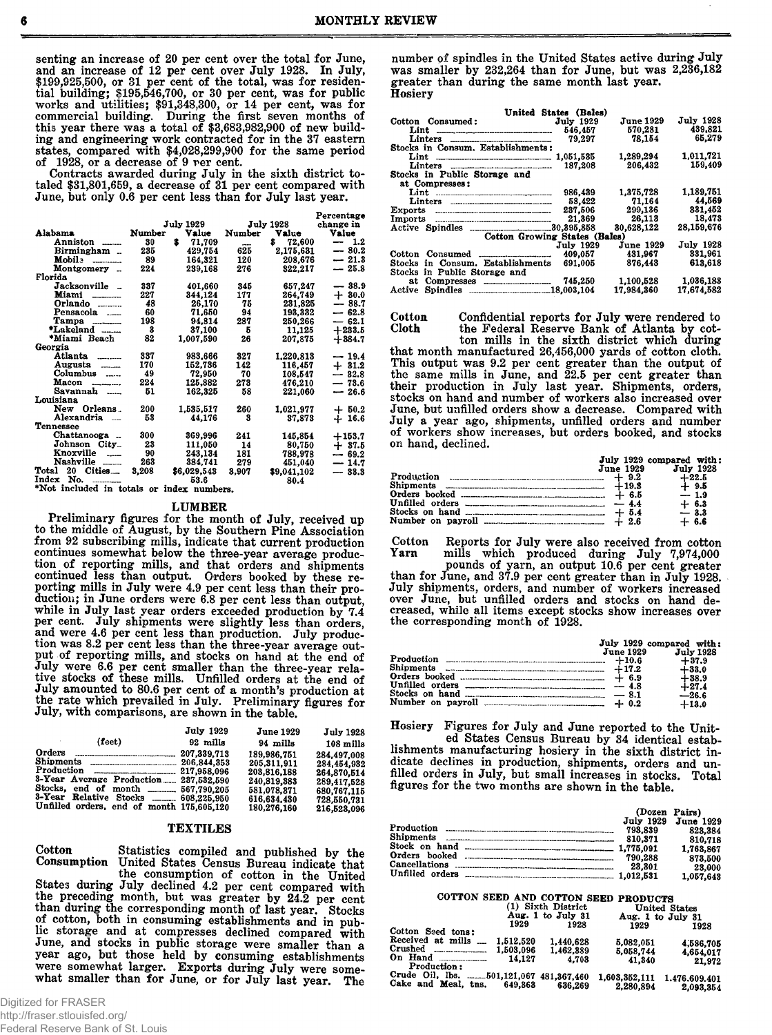senting an increase of 20 per cent over the total for June, and an increase of 12 per cent over July 1928. In July, \$199,925,500, or 31 per cent of the total, was for residential building; \$195,546,700, or 30 per cent, was for public works and utilities; \$91,348,300, or 14 per cent, was for commercial building. During the first seven months of this year there was a total of \$3,683,982,900 of new building and engineering work contracted for in the 37 eastern states, compared with \$4,028,299,900 for the same period of 1928, or a decrease of 9 rer cent.

Contracts awarded during July in the sixth district totaled \$31,801,659, a decrease of 31 per cent compared with June, but only 0.6 per cent less than for July last year.

|                                                                                                                                                                                                                                               |        |             |        |                  | Percentage |
|-----------------------------------------------------------------------------------------------------------------------------------------------------------------------------------------------------------------------------------------------|--------|-------------|--------|------------------|------------|
|                                                                                                                                                                                                                                               |        | July 1929   |        | <b>July 1928</b> | change in  |
| Alabama                                                                                                                                                                                                                                       | Number | Value       | Number | Value            | Value      |
| Anniston                                                                                                                                                                                                                                      | 30     | 71.709<br>s | ----   | \$<br>72.600     | 1.2<br>—   |
| Birmingham                                                                                                                                                                                                                                    | 235    | 429.754     | 625    | 2,175,631        | $-80.2$    |
| Mobil:<br>------------                                                                                                                                                                                                                        | 89     | 164.321     | 120    | 208,676          | $-21.3$    |
| Montgomery                                                                                                                                                                                                                                    | 224    | 239,168     | 276    | 822.217          | -- 25.8    |
| Florida                                                                                                                                                                                                                                       |        |             |        |                  |            |
| Jacksonville _                                                                                                                                                                                                                                | 337    | 401.660     | 345    | 657.247          | $-38.9$    |
| Miami<br><b>Continued by Continued By Continued By Continued By Continued By Continued By Continued By Continued By Continued By Continued By Continued By Continued By Continued By Continued By Continued By Continued By Continued By </b> | 227    | 344.124     | 177    | 264.749          | $+30.0$    |
| Orlando                                                                                                                                                                                                                                       | 48     | 26.170      | 75     | 231,825          | $-88.7$    |
| Pensacola                                                                                                                                                                                                                                     | 60     | 71.650      | 94     | 193.332          | $-62.8$    |
| Tampa<br>------------                                                                                                                                                                                                                         | 198    | 94.814      | 287    | 250,266          | — 62.1     |
| *Lakeland                                                                                                                                                                                                                                     | 3      | 37.100      | 5      | 11.125           | $+233.5$   |
| *Miami Beach                                                                                                                                                                                                                                  | 82     | 1.007.590   | 26     | 207.875          | $+384.7$   |
| Georgia                                                                                                                                                                                                                                       |        |             |        |                  |            |
| Atlanta                                                                                                                                                                                                                                       | 337    | 983,666     | 327    | 1.220.813        | $-19.4$    |
| Augusta                                                                                                                                                                                                                                       | 170    | 152.736     | 142    | 116,457          | $+31.2$    |
| Columbus                                                                                                                                                                                                                                      | 49     | 72,950      | 70     | 108.547          | $-32.8$    |
| Macon                                                                                                                                                                                                                                         | 224    | 125.882     | 273    | 476,210          | $-73.6$    |
| Savannah                                                                                                                                                                                                                                      | 51     | 162.325     | 58     | 221,060          | $-26.6$    |
| Louisiana                                                                                                                                                                                                                                     |        |             |        |                  |            |
| Orleans.<br>New                                                                                                                                                                                                                               | 200    | 1,535,517   | 260    | 1,021,977        | $+50.2$    |
| Alexandria<br>$\sim$                                                                                                                                                                                                                          | 53     | 44.176      | 3      | 37.873           | + 16.6     |
| <b>Tennessee</b>                                                                                                                                                                                                                              |        |             |        |                  |            |
| Chattanooga                                                                                                                                                                                                                                   | 300    | 369,996     | 241    | 145,854          | $+153.7$   |
| Johnson<br>City.                                                                                                                                                                                                                              | 23     | 111.050     | 14     | 80,750           | $+37.5$    |
| <b>Knoxville</b>                                                                                                                                                                                                                              | 90     | 243,134     | 181    | 788,978          | $-69.2$    |
| Nashville<br>-------                                                                                                                                                                                                                          | 263    | 384.741     | 279    | 451,040          | $-14.7$    |
| 20<br>Cities <sub>--</sub><br>Total                                                                                                                                                                                                           | 3.208  | \$6,029,543 | 3.907  | \$9.041.102      | $-83.3$    |
| Index No.                                                                                                                                                                                                                                     |        | 53.6        |        | 80.4             |            |
| *Not included in totals or index numbers.                                                                                                                                                                                                     |        |             |        |                  |            |
|                                                                                                                                                                                                                                               |        |             |        |                  |            |

#### LUMBER

Preliminary figures for the month of July, received up to the middle of August, by the Southern Pine Association from 92 subscribing mills, indicate that current production continues somewhat below the three-year average production of reporting mills, and that orders and shipments continued less than output. Orders booked by these reporting mills in July were 4.9 per cent less than their production; in June orders were 6.8 per cent less than output, while in July last year orders exceeded production by 7.4 per cent. July shipments were slightly less than orders, and were 4.6 per cent less than production. July production was 8.2 per cent less than the three-year average output of reporting mills, and stocks on hand at the end of July were 6.6 per cent smaller than the three-year relative stocks of these mills. Unfilled orders at the end of July amounted to 80.6 per cent of a month's production at the rate which prevailed in July. Preliminary figures for July, with comparisons, are shown in the table.

| (feet)                                                                                                                                                                                                           | <b>July 1929</b>                          | <b>June 1929</b>                                                                                      | <b>July 1928</b>                                                                                      |
|------------------------------------------------------------------------------------------------------------------------------------------------------------------------------------------------------------------|-------------------------------------------|-------------------------------------------------------------------------------------------------------|-------------------------------------------------------------------------------------------------------|
|                                                                                                                                                                                                                  | 92 mills                                  | 94 mills                                                                                              | 108 mills                                                                                             |
| Production <u>___________</u> _________<br>3-Year Average Production 237,532,590<br>Stocks, end of month _______ 567,790,205<br>3-Year Relative Stocks  608,225,950<br>Unfilled orders, end of month 175,605,120 | 207,339,713<br>206,844,353<br>217,958,096 | 189,986,751<br>205.311.911<br>203.816.188<br>240.819.383<br>581,078.371<br>616,634,430<br>180,276,160 | 284,497,008<br>284.454.932<br>264,870,514<br>289.417.528<br>680.767.115<br>728.550.731<br>216,523,096 |

#### TEXTILES

Cotton Statistics compiled and published by the Consumption United States Census Bureau indicate that the consumption of cotton in the United States during July declined 4.2 per cent compared with the preceding month, but was greater by 24.2 per cent than during the corresponding month of last year. Stocks of cotton, both in consuming establishments and in public storage and at compresses declined compared with June, and stocks in public storage were smaller than a year ago, but those held by consuming establishments were somewhat larger. Exports during July were somewhat smaller than for June, or for July last year. The

number of spindles in the United States active during July was smaller by 232,264 than for June, but was 2,236,182 greater than during the same month last year. **Hosiery** 

| United                                             | States (Bales)   |                  |                  |
|----------------------------------------------------|------------------|------------------|------------------|
| Cotton Consumed:                                   | <b>July 1929</b> | <b>June 1929</b> | <b>July 1928</b> |
|                                                    | 546,457          | 570.281          | 439.821          |
|                                                    | 79.297           | 78.154           | 65.279           |
| Stocks in Consum. Establishments:                  |                  |                  |                  |
|                                                    |                  | 1.289.294        | 1,011,721        |
|                                                    |                  | 206,432          | 159.409          |
| Stocks in Public Storage and                       |                  |                  |                  |
| at Compresses:                                     |                  |                  |                  |
|                                                    | 986.439          | 1,375,728        | 1,189,751        |
|                                                    | 58.422           | 71.164           | 44,569           |
| Exports                                            | 237.506          | 299.136          | 331,452          |
| Imports                                            | 21.369           | 26.113           | 18,473           |
|                                                    |                  | 30.628.122       | 28.159.676       |
| Cotton Growing States (Bales)                      |                  |                  |                  |
|                                                    | July 1929        | <b>June 1929</b> | <b>July 1928</b> |
| $\text{Cottom}$ Consumed $\text{________}$ 409.057 |                  | 431.967          | 331.961          |
| in Consum. Establishments 691,005<br>Stocks        |                  | 876,443          | 613,618          |
| Stocks in Public Storage and                       |                  |                  |                  |
|                                                    | 745.250          | 1.100.528        | 1.036.183        |
| Active                                             |                  | 17.984.360       | 17.674.582       |
|                                                    |                  |                  |                  |

Cotton Confidential reports for July were rendered to Cloth the Federal Reserve Bank of Atlanta by cotton mills in the sixth district which during that month manufactured 26,456,000 yards of cotton cloth. This output was 9.2 per cent greater than the output of the same mills in June, and  $\bar{2}2.5$  per cent greater than their production in July last year. Shipments, orders, stocks on hand and number of workers also increased over June, but unfilled orders show a decrease. Compared with July a year ago, shipments, unfilled orders and number of workers show increases, but orders booked, and stocks on hand, declined.

|                                           | June 1929 | July 1929 compared with:<br>July 1928 |
|-------------------------------------------|-----------|---------------------------------------|
|                                           | $+9.2$    | $+22.5$                               |
| Shipments <b>Expanding Communications</b> | $+19.3$   | $+9.5$                                |
|                                           | $+ 6.5$   | $-1.9$                                |
|                                           | $-4.4$    | $+6.3$                                |
| Stocks on hand                            | $+5.4$    | $-3.3$                                |
|                                           | $+2.6$    | $+6.6$                                |

Cotton Reports for July were also received from cotton<br>
Yarn mills which produced during July 7.974.000 mills which produced during July 7,974,000

pounds of yarn, an output 10.6 per cent greater than for June, and 37.9 per cent greater than in July 1928. July shipments, orders, and number of workers increased over June, but unfilled orders and stocks on hand decreased, while all items except stocks show increases over the corresponding month of 1928.

|                                                                                                                                                                                                                                     | <b>June 1929</b> | July 1929 compared with:<br>July 1928 |
|-------------------------------------------------------------------------------------------------------------------------------------------------------------------------------------------------------------------------------------|------------------|---------------------------------------|
|                                                                                                                                                                                                                                     |                  |                                       |
|                                                                                                                                                                                                                                     | $+10.6$          | $+37.9$                               |
| Shinments <b>continuous</b> continuous continuous continuous continuous continuous continuous continuous continuous continuous continuous continuous continuous continuous continuous continuous continuous continuous continuous c | $+17.2$          | $+33.0$                               |
|                                                                                                                                                                                                                                     | $+6.9$           | $+38.9$                               |
| Unfilled orders $\frac{1}{2}$ 4.8                                                                                                                                                                                                   |                  | $+27.4$                               |
| Stocks on hand $\ldots$ 8.1                                                                                                                                                                                                         |                  | $-26.6$                               |
|                                                                                                                                                                                                                                     | $+. 0.2$         | $+13.0$                               |

Hosiery Figures for July and June reported to the United States Census Bureau by 34 identical establishments manufacturing hosiery in the sixth district indicate declines in production, shipments, orders and unfilled orders in July, but small increases in stocks. Total figures for the two months are shown in the table.

| <b>Shipments</b> | (Dozen Pairs)<br><b>July 1929</b><br>793,839<br>810.371<br>1.775.091<br>790,288<br>23.301 | June 1929<br>823.384<br>810.718<br>1.763.867<br>873.500 |
|------------------|-------------------------------------------------------------------------------------------|---------------------------------------------------------|
|                  |                                                                                           | 23,000<br>1,057,643                                     |

|                                                                 |           | (1) Sixth District<br>Aug. 1 to July 31 | COTTON SEED AND COTTON SEED PRODUCTS | <b>United States</b><br>Aug. 1 to July 31 |
|-----------------------------------------------------------------|-----------|-----------------------------------------|--------------------------------------|-------------------------------------------|
|                                                                 | 1929      | 1928                                    | 1929                                 | 1928                                      |
| Cotton Seed tons:                                               |           |                                         |                                      |                                           |
| Received at mills                                               | 1.512.520 | 1,440.628                               | 5,082,051                            | 4,586,705                                 |
| $Crushed$ _____________                                         | 1,503,096 | 1,462,389                               | 5,058,744                            | 4,654,017                                 |
| Production:                                                     | 14.127    | 4.703                                   | 41.340                               | 21.972                                    |
| Crude Oil, lbs.  501,121,067 481,367,460<br>Cake and Meal, tns. | 649.363   | 636,269                                 | 1,603,352,111<br>2,280,894           | 1.476.609.401<br>2,093,354                |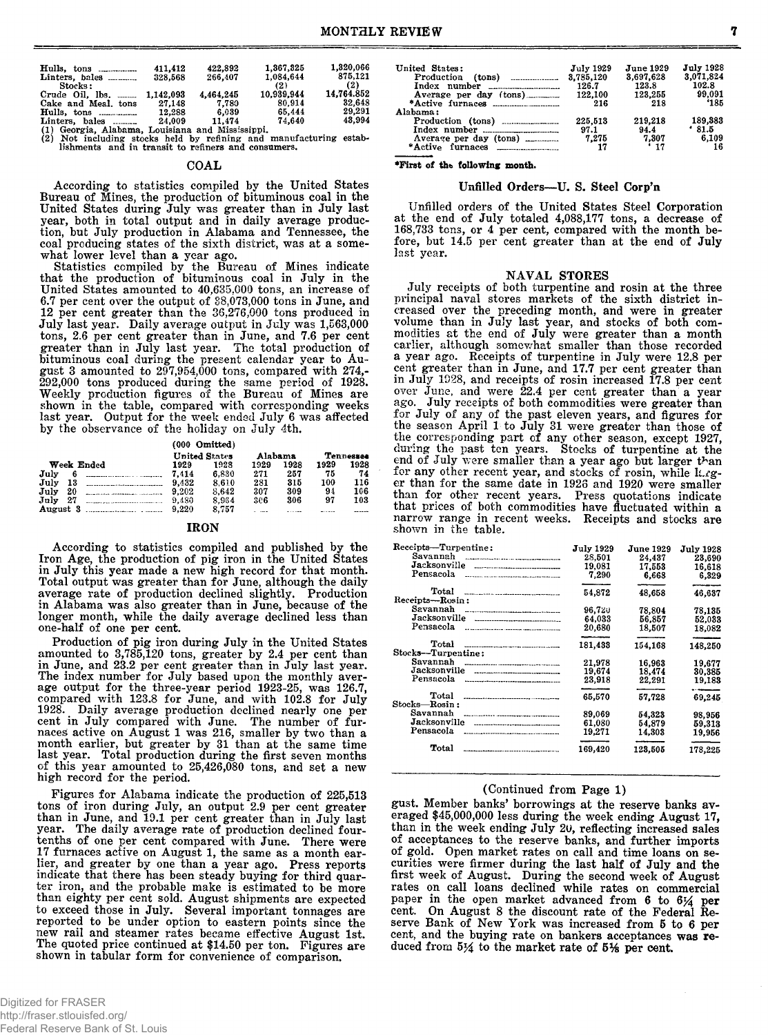| Hulls, tons                                      | 411.412 | 422.892   | 1,367,325  | 1.320.066  |
|--------------------------------------------------|---------|-----------|------------|------------|
| Linters, bales $\ldots$                          | 328.568 | 266,407   | 1,084,644  | 875.121    |
| Stocks:                                          |         |           | (2)        | (2)        |
| Crude Oil, lbs.  1,142,093                       |         | 4.464.245 | 10.939.944 | 14.764.852 |
| Cake and Meal, tons                              | 27,148  | 7.780     | 80.914     | 32,648     |
|                                                  | 12.288  | 6.039     | 65.444     | 29.291     |
|                                                  | 24.009  | 11.474    | 74.640     | 43.994     |
| (1) Georgia, Alabama, Louisiana and Mississippi, |         |           |            |            |

(2) Not including stocks held by refining and manufacturing estab-<br>lishments and in transit to refiners and consumers.

COAL

According to statistics compiled by the United States Bureau of Mines, the production of bituminous coal in the United States during July was greater than in July last year, both in total output and in daily average production, but July production in Alabama and Tennessee, the coal producing states of the sixth district, was at a somewhat lower level than a year ago.

Statistics compiled by the Bureau of Mines indicate that the production of bituminous coal in July in the United States amounted to 40,635.000 tons, an increase of 6.7 per cent over the output of 38,073,000 tons in June, and 12 per cent greater than the 36,276,000 tons produced in July last year. Daily average output in July was 1,563,000 tons, 2.6 per cent greater than in June, and 7.6 per cent greater than in July last year. The total production of bituminous coal during the present calendar year to August 3 amounted to 297,954,000 tons, compared with 274,- 292,000 tons produced during the same period of 1928. Weekly production figures of the Bureau of Mines are shown in the table, compared with corresponding weeks last year. Output for the week ended July 6 was affected by the observance of the holiday on July 4th.

|          |    |            |       | (000 Omitted)        |         |      |      |                  |
|----------|----|------------|-------|----------------------|---------|------|------|------------------|
|          |    |            |       | <b>United States</b> | Alabama |      |      | <b>Tennesses</b> |
|          |    | Week Ended | 1929  | 1928                 | 1929    | 1928 | 1929 | 1928             |
| July     |    |            | 7.414 | 6.830                | 271     | 257  | 75   | 74               |
| July     | 13 |            | 9.432 | 8.610                | 281     | 315  | 100  | 116              |
| July     | 20 |            | 9.202 | 8.642                | 307     | 309  | 94   | 106              |
| July     | 27 |            | 9.480 | 8.964                | 306     | 306  | 97   | 103              |
| August 3 |    |            | 9.220 | 8.757                |         |      |      |                  |

#### IRON

According to statistics compiled and published by the Iron Age, the production of pig iron in the United States in July this year made a new high record for that month. Total output was greater than for June, although the daily average rate of production declined slightly. Production in Alabama was also greater than in June, because of the longer month, while the daily average declined less than one-half of one per cent.

Production of pig iron during July in the United States amounted to 3,785,120 tons, greater by 2.4 per cent than in June, and 23.2 per cent greater than in July last year. The index number for July based upon the monthly average output for the three-year period 1923-25, was 126.7, compared with 123.8 for June, and with 102.8 for July 1928. Daily average production declined nearly one per cent in July compared with June. The number of furnaces active on August 1 was 216, smaller by two than a month earlier, but greater by 31 than at the same time last year. Total production during the first seven months of this year amounted to 25,426,080 tons, and set a new high record for the period.

Figures for Alabama indicate the production of 225,513 tons of iron during July, an output 2.9 per cent greater than in June, and 19.1 per cent greater than in July last year. The daily average rate of production declined fourtenths of one per cent compared with June. There were 17 furnaces active on August 1, the same as a month earlier, and greater by one than a year ago. Press reports indicate that there has been steady buying for third quarter iron, and the probable make is estimated to be more than eighty per cent sold. August shipments are expected to exceed those in July. Several important tonnages are reported to be under option to eastern points since the new rail and steamer rates became effective August 1st. The quoted price continued at \$14.50 per ton. Figures are shown in tabular form for convenience of comparison.

| United States:                | July 1929 | <b>June 1929</b> | <b>July 1928</b> |
|-------------------------------|-----------|------------------|------------------|
|                               | 3,785,120 | 3,697,628        | 3.071.824        |
|                               | 126.7     | 123.8            | 102.8            |
| Average per day (tons)        | 122.100   | 123.255          | 99.091           |
|                               | 216       | 218              | $^{4}185$        |
| Alabama:<br>Production (tons) | 225.513   | 219,218          | 189, 383         |
|                               | 97.1      | 94.4             | .81.5            |
| Average per day (tons)        | 7.275     | 7.307            | 6.109            |
|                               | 17        | $\cdots$         | 16               |

\*First of the following month.

#### Unfilled Orders--- U. S. Steel Corp'n

Unfilled orders of the United States Steel Corporation at the end of July totaled 4,088,177 tons, a decrease of 168,733 tons, or 4 per cent, compared with the month before, but 14.5 per cent greater than at the end of July last year.

#### NAVAL STORES

July receipts of both turpentine and rosin at the three principal naval stores markets of the sixth district increased over the preceding month, and were in greater volume than in July last year, and stocks of both commodities at the end of July were greater than a month earlier, although somewhat smaller than those recorded a year ago. Receipts of turpentine in July were 12.8 per cent greater than in June, and 17.7 per cent greater than in July 1028, and receipts of rosin increased 17.8 per cent over June, and were 22.4 per cent greater than a year ago. July receipts of both commodities were greater than for July of any of the past eleven years, and figures for the season April 1 to July 31 were greater than those of the corresponding part of any other season, except 1927, during the past ten years. Stocks of turpentine at the end of July were smaller than a year ago but larger t^an for any other recent year, and stocks of rosin, while  $l_{Lrg}$ . er than for the same date in 1926 and 1920 were smaller than for other recent years. Press quotations indicate that prices of both commodities have fluctuated within a narrow range in recent weeks. Receipts and stocks are shown in the table.

| Receipts-Turpentine:                             | <b>July 1929</b> | <b>June 1929</b>  | July 1928 |
|--------------------------------------------------|------------------|-------------------|-----------|
| Savannah                                         | 28.501           | 24.437            | 23,690    |
| Jacksonville                                     | 19.081           | 17.553            | 16,618    |
| Pensacola                                        | 7.290            | 6,668             | 6,329     |
| Total                                            | 54.872           | 48.658            | 46.637    |
| Receipts—Rosin :                                 |                  |                   |           |
| Savannah<br>,,,,,,,,,,,,,,,,,,,,,,,,,,,,,,,,,,,, | 96.720           | 78.804            | 78.135    |
| Jacksonville                                     | 64.033           | 56.857            | 52,033    |
| Pensacola                                        | 20,680           | 18.507            | 18,082    |
| Total                                            | 181.433          | 154.168           | 148.250   |
| Stocks--Turpentine:                              |                  |                   |           |
| Savannah                                         | 21.978           | 16.963            | 19.677    |
| Jacksonville                                     | 19,674           | 18.474            | 30.385    |
| Pensacola                                        | 23,918           | 22.291            | 19,183    |
|                                                  |                  |                   |           |
| Total<br>Stocks—Rosin :                          | 65,570           | 57,728            | 69,245    |
| Savannah                                         | 89,069           | 54.323            | 98.956    |
| Jacksonville                                     | 61.080           | 54.879            | 59,313    |
| Pensacola                                        | 19.271           | 14.303            | 19,956    |
| Total                                            | 169,420          | ______<br>123.505 | 178,225   |

#### (Continued from Page 1)

gust. Member banks' borrowings at the reserve banks averaged \$45,000,000 less during the week ending August 17, than in the week ending July 20, reflecting increased sales of acceptances to the reserve banks, and further imports of gold. Open market rates on call and time loans on securities were firmer during the last half of July and the first week of August. During the second week of August rates on call loans declined while rates on commercial paper in the open market advanced from  $6$  to  $6\frac{1}{4}$  per cent. On August 8 the discount rate of the Federal Reserve Bank of New York was increased from 5 to 6 per cent, and the buying rate on bankers acceptances was reduced from 5J4 to the market rate of 5% per cent.